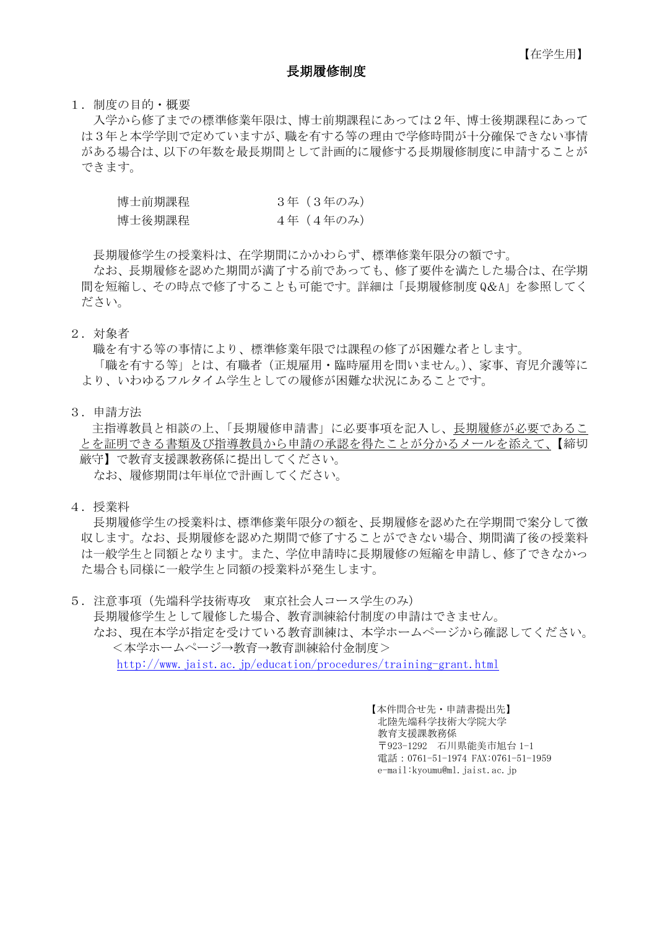#### 長期履修制度

1.制度の目的・概要

入学から修了までの標準修業年限は、博士前期課程にあっては2年、博士後期課程にあって は3年と本学学則で定めていますが、職を有する等の理由で学修時間が十分確保できない事情 がある場合は、以下の年数を最長期間として計画的に履修する長期履修制度に申請することが できます。

| 博士前期課程 | 3年(3年のみ)  |
|--------|-----------|
| 博士後期課程 | 4年 (4年のみ) |

長期履修学生の授業料は、在学期間にかかわらず、標準修業年限分の額です。

 なお、長期履修を認めた期間が満了する前であっても、修了要件を満たした場合は、在学期 間を短縮し、その時点で修了することも可能です。詳細は「長期履修制度 Q&A」を参照してく ださい。

2.対象者

職を有する等の事情により、標準修業年限では課程の修了が困難な者とします。 「職を有する等」とは、有職者(正規雇用・臨時雇用を問いません。)、家事、育児介護等に より、いわゆるフルタイム学生としての履修が困難な状況にあることです。

3.申請方法

主指導教員と相談の上、「長期履修申請書」に必要事項を記入し、長期履修が必要であるこ とを証明できる書類及び指導教員から申請の承認を得たことが分かるメールを添えて、【締切 厳守】で教育支援課教務係に提出してください。 なお、履修期間は年単位で計画してください。

4.授業料

長期履修学生の授業料は、標準修業年限分の額を、長期履修を認めた在学期間で案分して徴 収します。なお、長期履修を認めた期間で修了することができない場合、期間満了後の授業料 は一般学生と同額となります。また、学位申請時に長期履修の短縮を申請し、修了できなかっ た場合も同様に一般学生と同額の授業料が発生します。

5.注意事項(先端科学技術専攻 東京社会人コース学生のみ) 長期履修学生として履修した場合、教育訓練給付制度の申請はできません。 なお、現在本学が指定を受けている教育訓練は、本学ホームページから確認してください。 <本学ホームページ→教育→教育訓練給付金制度> http://www.jaist.ac.jp/education/procedures/training-grant.html

> 【本件問合せ先・申請書提出先】 北陸先端科学技術大学院大学 教育支援課教務係 〒923-1292 石川県能美市旭台 1-1 電話:0761-51-1974 FAX:0761-51-1959 e-mail:kyoumu@ml.jaist.ac.jp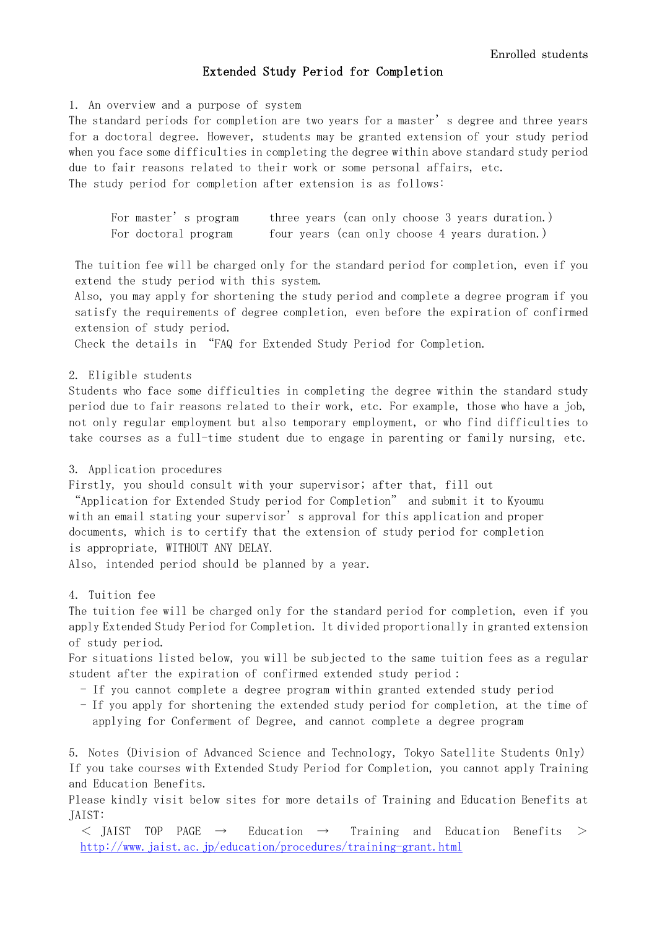### Extended Study Period for Completion

1. An overview and a purpose of system

The standard periods for completion are two years for a master's degree and three years for a doctoral degree. However, students may be granted extension of your study period when you face some difficulties in completing the degree within above standard study period due to fair reasons related to their work or some personal affairs, etc. The study period for completion after extension is as follows:

| For master's program | three years (can only choose 3 years duration.) |
|----------------------|-------------------------------------------------|
| For doctoral program | four years (can only choose 4 years duration.)  |

The tuition fee will be charged only for the standard period for completion, even if you extend the study period with this system.

Also, you may apply for shortening the study period and complete a degree program if you satisfy the requirements of degree completion, even before the expiration of confirmed extension of study period.

Check the details in "FAQ for Extended Study Period for Completion.

#### 2. Eligible students

Students who face some difficulties in completing the degree within the standard study period due to fair reasons related to their work, etc. For example, those who have a job, not only regular employment but also temporary employment, or who find difficulties to take courses as a full-time student due to engage in parenting or family nursing, etc.

#### 3. Application procedures

Firstly, you should consult with your supervisor; after that, fill out

"Application for Extended Study period for Completion" and submit it to Kyoumu with an email stating your supervisor's approval for this application and proper documents, which is to certify that the extension of study period for completion is appropriate, WITHOUT ANY DELAY.

Also, intended period should be planned by a year.

#### 4. Tuition fee

The tuition fee will be charged only for the standard period for completion, even if you apply Extended Study Period for Completion. It divided proportionally in granted extension of study period.

For situations listed below, you will be subjected to the same tuition fees as a regular student after the expiration of confirmed extended study period:

- If you cannot complete a degree program within granted extended study period
- If you apply for shortening the extended study period for completion, at the time of applying for Conferment of Degree, and cannot complete a degree program

5. Notes (Division of Advanced Science and Technology, Tokyo Satellite Students Only) If you take courses with Extended Study Period for Completion, you cannot apply Training and Education Benefits.

Please kindly visit below sites for more details of Training and Education Benefits at JAIST:

 $\le$  JAIST TOP PAGE  $\rightarrow$  Education  $\rightarrow$  Training and Education Benefits  $>$ http://www.jaist.ac.jp/education/procedures/training-grant.html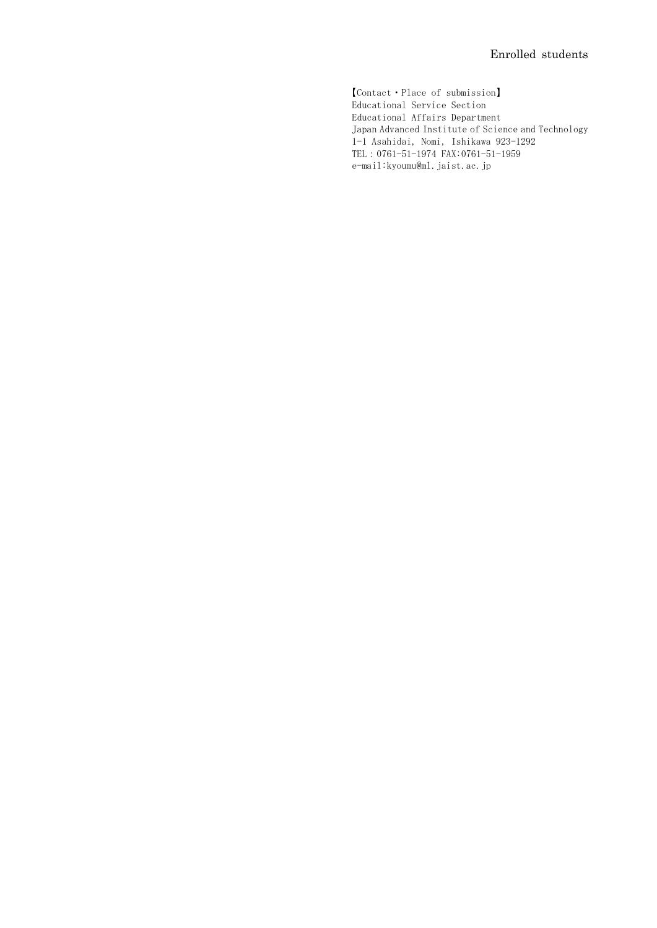【Contact・Place of submission】 Educational Service Section Educational Affairs Department Japan Advanced Institute of Science and Technology 1-1 Asahidai, Nomi, Ishikawa 923-1292 TEL:0761-51-1974 FAX:0761-51-1959 e-mail:kyoumu@ml.jaist.ac.jp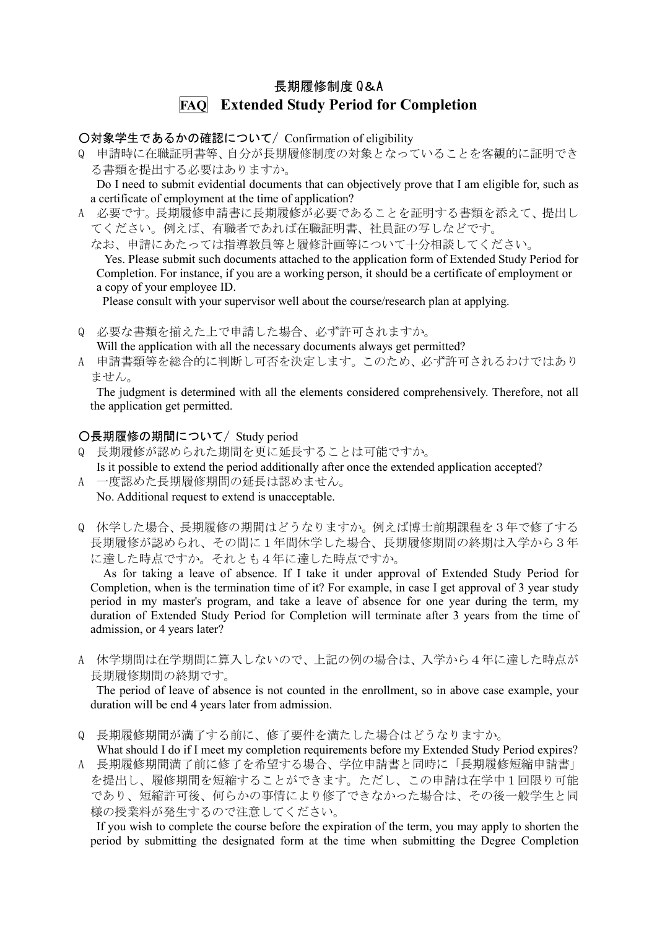# 長期履修制度 Q&A **FAQ Extended Study Period for Completion**

○対象学生であるかの確認について/ Confirmation of eligibility

Q 申請時に在職証明書等、自分が長期履修制度の対象となっていることを客観的に証明でき る書類を提出する必要はありますか。

 Do I need to submit evidential documents that can objectively prove that I am eligible for, such as a certificate of employment at the time of application?

- A 必要です。長期履修申請書に長期履修が必要であることを証明する書類を添えて、提出し てください。例えば、有職者であれば在職証明書、社員証の写しなどです。
	- なお、申請にあたっては指導教員等と履修計画等について十分相談してください。

Yes. Please submit such documents attached to the application form of Extended Study Period for Completion. For instance, if you are a working person, it should be a certificate of employment or a copy of your employee ID.

Please consult with your supervisor well about the course/research plan at applying.

- Q 必要な書類を揃えた上で申請した場合、必ず許可されますか。 Will the application with all the necessary documents always get permitted?
- A 申請書類等を総合的に判断し可否を決定します。このため、必ず許可されるわけではあり ません。

The judgment is determined with all the elements considered comprehensively. Therefore, not all the application get permitted.

## ○長期履修の期間について/ Study period

- Q 長期履修が認められた期間を更に延長することは可能ですか。 Is it possible to extend the period additionally after once the extended application accepted?
- A 一度認めた長期履修期間の延長は認めません。 No. Additional request to extend is unacceptable.
- Q 休学した場合、長期履修の期間はどうなりますか。例えば博士前期課程を3年で修了する 長期履修が認められ、その間に1年間休学した場合、長期履修期間の終期は入学から3年 に達した時点ですか。それとも4年に達した時点ですか。

 As for taking a leave of absence. If I take it under approval of Extended Study Period for Completion, when is the termination time of it? For example, in case I get approval of 3 year study period in my master's program, and take a leave of absence for one year during the term, my duration of Extended Study Period for Completion will terminate after 3 years from the time of admission, or 4 years later?

A 休学期間は在学期間に算入しないので、上記の例の場合は、入学から4年に達した時点が 長期履修期間の終期です。

 The period of leave of absence is not counted in the enrollment, so in above case example, your duration will be end 4 years later from admission.

- Q 長期履修期間が満了する前に、修了要件を満たした場合はどうなりますか。
- What should I do if I meet my completion requirements before my Extended Study Period expires? A 長期履修期間満了前に修了を希望する場合、学位申請書と同時に「長期履修短縮申請書」 を提出し、履修期間を短縮することができます。ただし、この申請は在学中1回限り可能 であり、短縮許可後、何らかの事情により修了できなかった場合は、その後一般学生と同 様の授業料が発生するので注意してください。

 If you wish to complete the course before the expiration of the term, you may apply to shorten the period by submitting the designated form at the time when submitting the Degree Completion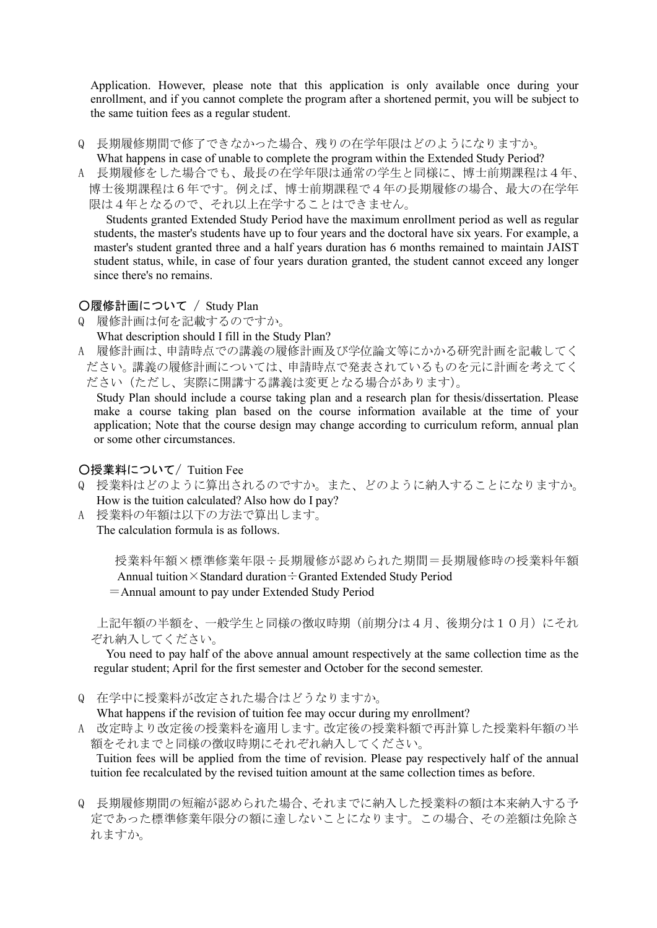Application. However, please note that this application is only available once during your enrollment, and if you cannot complete the program after a shortened permit, you will be subject to the same tuition fees as a regular student.

Q 長期履修期間で修了できなかった場合、残りの在学年限はどのようになりますか。

What happens in case of unable to complete the program within the Extended Study Period?

A 長期履修をした場合でも、最長の在学年限は通常の学生と同様に、博士前期課程は4年、 博士後期課程は6年です。例えば、博士前期課程で4年の長期履修の場合、最大の在学年 限は4年となるので、それ以上在学することはできません。

 Students granted Extended Study Period have the maximum enrollment period as well as regular students, the master's students have up to four years and the doctoral have six years. For example, a master's student granted three and a half years duration has 6 months remained to maintain JAIST student status, while, in case of four years duration granted, the student cannot exceed any longer since there's no remains.

## ○履修計画について / Study Plan

Q 履修計画は何を記載するのですか。 What description should I fill in the Study Plan?

A 履修計画は、申請時点での講義の履修計画及び学位論文等にかかる研究計画を記載してく ださい。講義の履修計画については、申請時点で発表されているものを元に計画を考えてく ださい(ただし、実際に開講する講義は変更となる場合があります)。

 Study Plan should include a course taking plan and a research plan for thesis/dissertation. Please make a course taking plan based on the course information available at the time of your application; Note that the course design may change according to curriculum reform, annual plan or some other circumstances.

# ○授業料について/ Tuition Fee

- Q 授業料はどのように算出されるのですか。また、どのように納入することになりますか。 How is the tuition calculated? Also how do I pay?
- A 授業料の年額は以下の方法で算出します。 The calculation formula is as follows.

授業料年額×標準修業年限÷長期履修が認められた期間=長期履修時の授業料年額 Annual tuition×Standard duration÷Granted Extended Study Period

=Annual amount to pay under Extended Study Period

上記年額の半額を、一般学生と同様の徴収時期(前期分は4月、後期分は10月)にそれ ぞれ納入してください。

You need to pay half of the above annual amount respectively at the same collection time as the regular student; April for the first semester and October for the second semester.

Q 在学中に授業料が改定された場合はどうなりますか。

What happens if the revision of tuition fee may occur during my enrollment?

A 改定時より改定後の授業料を適用します。改定後の授業料額で再計算した授業料年額の半 額をそれまでと同様の徴収時期にそれぞれ納入してください。

Tuition fees will be applied from the time of revision. Please pay respectively half of the annual tuition fee recalculated by the revised tuition amount at the same collection times as before.

Q 長期履修期間の短縮が認められた場合、それまでに納入した授業料の額は本来納入する予 定であった標準修業年限分の額に達しないことになります。この場合、その差額は免除さ れますか。